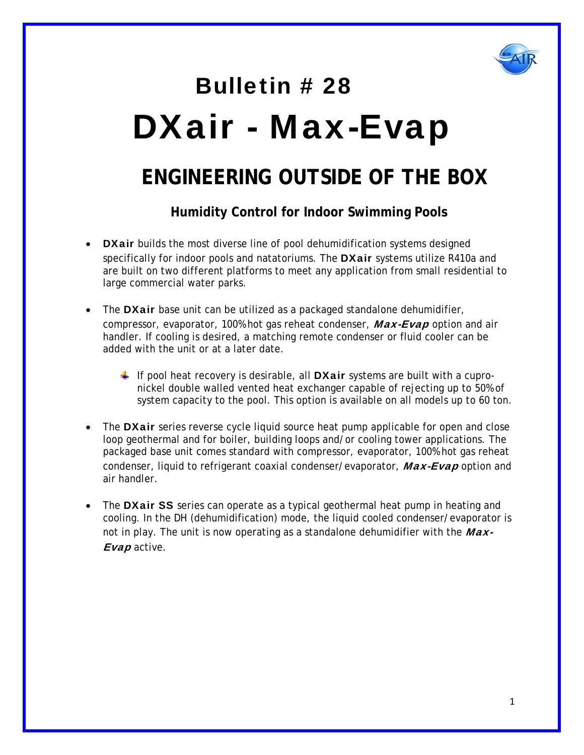

# Bulletin # 28 DXair - Max-Evap

### **ENGINEERING OUTSIDE OF THE BOX**

 **Humidity Control for Indoor Swimming Pools** 

- DXair builds the most diverse line of pool dehumidification systems designed specifically for indoor pools and natatoriums. The **DXair** systems utilize R410a and are built on two different platforms to meet any application from small residential to large commercial water parks.
- The DXair base unit can be utilized as a packaged standalone dehumidifier, compressor, evaporator, 100% hot gas reheat condenser, Max-Evap option and air handler. If cooling is desired, a matching remote condenser or fluid cooler can be added with the unit or at a later date.
	- If pool heat recovery is desirable, all **DXair** systems are built with a cupronickel double walled vented heat exchanger capable of rejecting up to 50% of system capacity to the pool. This option is available on all models up to 60 ton.
- The **DXair** series reverse cycle liquid source heat pump applicable for open and close loop geothermal and for boiler, building loops and/or cooling tower applications. The packaged base unit comes standard with compressor, evaporator, 100% hot gas reheat condenser, liquid to refrigerant coaxial condenser/evaporator, Max-Evap option and air handler.
- The **DXair SS** series can operate as a typical geothermal heat pump in heating and cooling. In the DH (dehumidification) mode, the liquid cooled condenser/evaporator is not in play. The unit is now operating as a standalone dehumidifier with the  $Max-$ Evap active.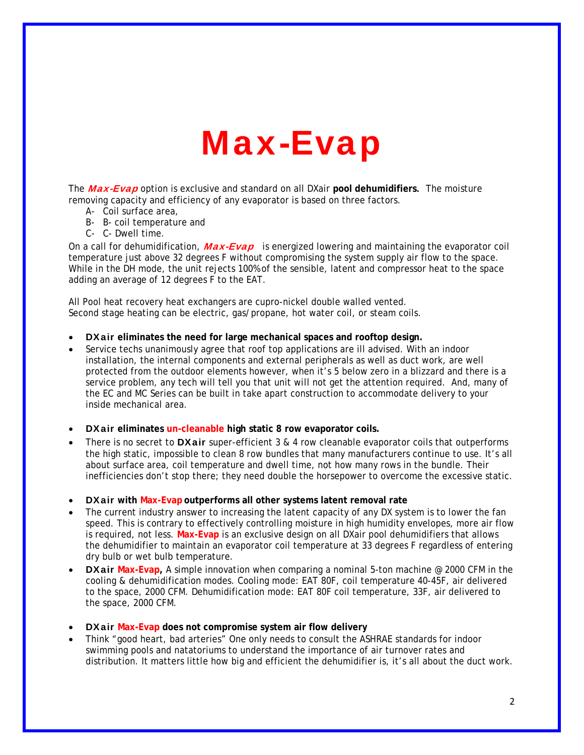## Max-Evap

The Max-Evap option is exclusive and standard on all DXair **pool dehumidifiers**. The moisture removing capacity and efficiency of any evaporator is based on three factors.

- A- Coil surface area,
- B- B- coil temperature and
- C- C- Dwell time.

On a call for dehumidification,  $Max-Evap$  is energized lowering and maintaining the evaporator coil temperature just above 32 degrees F without compromising the system supply air flow to the space. While in the DH mode, the unit rejects 100% of the sensible, latent and compressor heat to the space adding an average of 12 degrees F to the EAT.

All Pool heat recovery heat exchangers are cupro-nickel double walled vented. Second stage heating can be electric, gas/propane, hot water coil, or steam coils.

- DXair **eliminates the need for large mechanical spaces and rooftop design.**
- Service techs unanimously agree that roof top applications are ill advised. With an indoor installation, the internal components and external peripherals as well as duct work, are well protected from the outdoor elements however, when it's 5 below zero in a blizzard and there is a service problem, any tech will tell you that unit will not get the attention required. And, many of the EC and MC Series can be built in take apart construction to accommodate delivery to your inside mechanical area.
- DXair **eliminates un-cleanable high static 8 row evaporator coils.**
- There is no secret to **DXair** super-efficient 3 & 4 row cleanable evaporator coils that outperforms the high static, impossible to clean 8 row bundles that many manufacturers continue to use. It's all about surface area, coil temperature and dwell time, not how many rows in the bundle. Their inefficiencies don't stop there; they need double the horsepower to overcome the excessive static.
- DXair **with Max-Evap outperforms all other systems latent removal rate**
- The current industry answer to increasing the latent capacity of any DX system is to lower the fan speed. This is contrary to effectively controlling moisture in high humidity envelopes, more air flow is required, not less. **Max-Evap** is an exclusive design on all DXair pool dehumidifiers that allows the dehumidifier to maintain an evaporator coil temperature at 33 degrees F regardless of entering dry bulb or wet bulb temperature.
- DXair **Max-Evap,** A simple innovation when comparing a nominal 5-ton machine @ 2000 CFM in the cooling & dehumidification modes. Cooling mode: EAT 80F, coil temperature 40-45F, air delivered to the space, 2000 CFM. Dehumidification mode: EAT 80F coil temperature, 33F, air delivered to the space, 2000 CFM.
- DXair **Max-Evap does not compromise system air flow delivery**
- Think "good heart, bad arteries" One only needs to consult the ASHRAE standards for indoor swimming pools and natatoriums to understand the importance of air turnover rates and distribution. It matters little how big and efficient the dehumidifier is, it's all about the duct work.